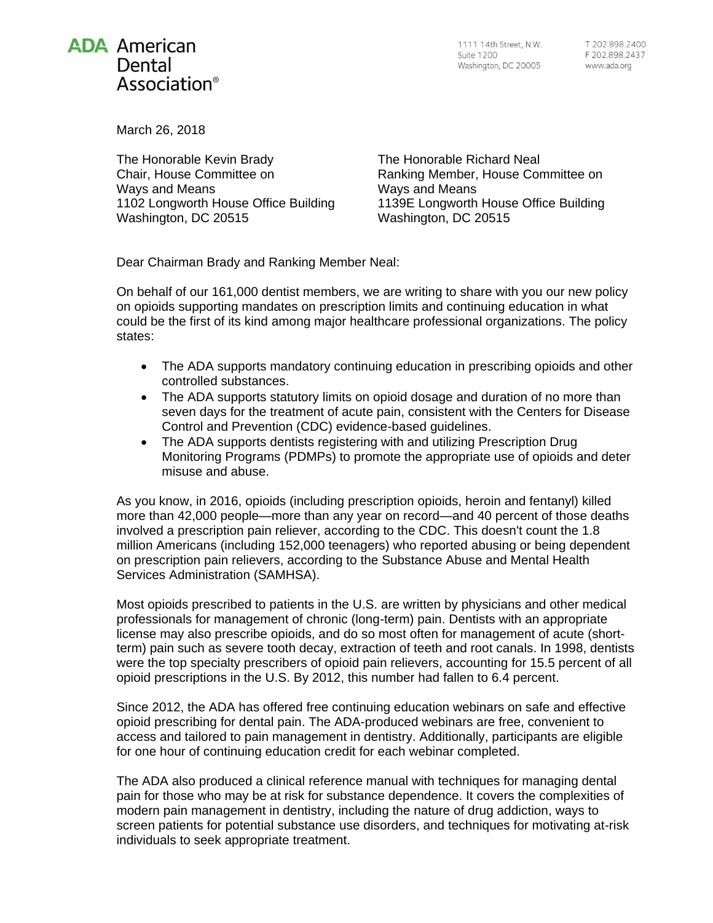## **ADA American** Dental Association<sup>®</sup>

March 26, 2018

The Honorable Kevin Brady Chair, House Committee on Ways and Means 1102 Longworth House Office Building Washington, DC 20515

The Honorable Richard Neal Ranking Member, House Committee on Ways and Means 1139E Longworth House Office Building Washington, DC 20515

Dear Chairman Brady and Ranking Member Neal:

On behalf of our 161,000 dentist members, we are writing to share with you our new policy on opioids supporting mandates on prescription limits and continuing education in what could be the first of its kind among major healthcare professional organizations. The policy states:

- The ADA supports mandatory continuing education in prescribing opioids and other controlled substances.
- The ADA supports statutory limits on opioid dosage and duration of no more than seven days for the treatment of acute pain, consistent with the Centers for Disease Control and Prevention (CDC) evidence-based guidelines.
- The ADA supports dentists registering with and utilizing Prescription Drug Monitoring Programs (PDMPs) to promote the appropriate use of opioids and deter misuse and abuse.

As you know, in 2016, opioids (including prescription opioids, heroin and fentanyl) killed more than 42,000 people—more than any year on record—and 40 percent of those deaths involved a prescription pain reliever, according to the CDC. This doesn't count the 1.8 million Americans (including 152,000 teenagers) who reported abusing or being dependent on prescription pain relievers, according to the Substance Abuse and Mental Health Services Administration (SAMHSA).

Most opioids prescribed to patients in the U.S. are written by physicians and other medical professionals for management of chronic (long-term) pain. Dentists with an appropriate license may also prescribe opioids, and do so most often for management of acute (shortterm) pain such as severe tooth decay, extraction of teeth and root canals. In 1998, dentists were the top specialty prescribers of opioid pain relievers, accounting for 15.5 percent of all opioid prescriptions in the U.S. By 2012, this number had fallen to 6.4 percent.

Since 2012, the ADA has offered free continuing education webinars on safe and effective opioid prescribing for dental pain. The ADA-produced webinars are free, convenient to access and tailored to pain management in dentistry. Additionally, participants are eligible for one hour of continuing education credit for each webinar completed.

The ADA also produced a clinical reference manual with techniques for managing dental pain for those who may be at risk for substance dependence. It covers the complexities of modern pain management in dentistry, including the nature of drug addiction, ways to screen patients for potential substance use disorders, and techniques for motivating at-risk individuals to seek appropriate treatment.